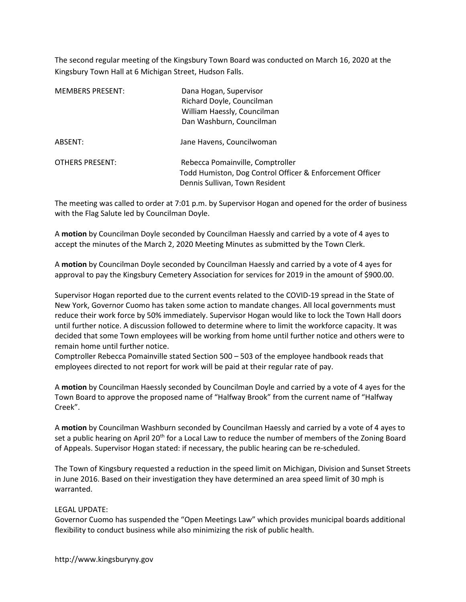The second regular meeting of the Kingsbury Town Board was conducted on March 16, 2020 at the Kingsbury Town Hall at 6 Michigan Street, Hudson Falls.

| <b>MEMBERS PRESENT:</b> | Dana Hogan, Supervisor<br>Richard Doyle, Councilman<br>William Haessly, Councilman<br>Dan Washburn, Councilman                 |
|-------------------------|--------------------------------------------------------------------------------------------------------------------------------|
| ABSENT:                 | Jane Havens, Councilwoman                                                                                                      |
| OTHERS PRESENT:         | Rebecca Pomainville, Comptroller<br>Todd Humiston, Dog Control Officer & Enforcement Officer<br>Dennis Sullivan, Town Resident |

The meeting was called to order at 7:01 p.m. by Supervisor Hogan and opened for the order of business with the Flag Salute led by Councilman Doyle.

A motion by Councilman Doyle seconded by Councilman Haessly and carried by a vote of 4 ayes to accept the minutes of the March 2, 2020 Meeting Minutes as submitted by the Town Clerk.

A motion by Councilman Doyle seconded by Councilman Haessly and carried by a vote of 4 ayes for approval to pay the Kingsbury Cemetery Association for services for 2019 in the amount of \$900.00.

Supervisor Hogan reported due to the current events related to the COVID-19 spread in the State of New York, Governor Cuomo has taken some action to mandate changes. All local governments must reduce their work force by 50% immediately. Supervisor Hogan would like to lock the Town Hall doors until further notice. A discussion followed to determine where to limit the workforce capacity. It was decided that some Town employees will be working from home until further notice and others were to remain home until further notice.

Comptroller Rebecca Pomainville stated Section 500 – 503 of the employee handbook reads that employees directed to not report for work will be paid at their regular rate of pay.

A motion by Councilman Haessly seconded by Councilman Doyle and carried by a vote of 4 ayes for the Town Board to approve the proposed name of "Halfway Brook" from the current name of "Halfway Creek".

A motion by Councilman Washburn seconded by Councilman Haessly and carried by a vote of 4 ayes to set a public hearing on April 20<sup>th</sup> for a Local Law to reduce the number of members of the Zoning Board of Appeals. Supervisor Hogan stated: if necessary, the public hearing can be re-scheduled.

The Town of Kingsbury requested a reduction in the speed limit on Michigan, Division and Sunset Streets in June 2016. Based on their investigation they have determined an area speed limit of 30 mph is warranted.

# LEGAL UPDATE:

Governor Cuomo has suspended the "Open Meetings Law" which provides municipal boards additional flexibility to conduct business while also minimizing the risk of public health.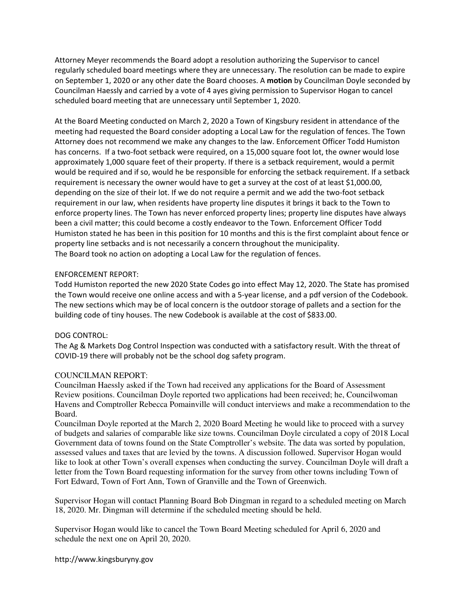Attorney Meyer recommends the Board adopt a resolution authorizing the Supervisor to cancel regularly scheduled board meetings where they are unnecessary. The resolution can be made to expire on September 1, 2020 or any other date the Board chooses. A motion by Councilman Doyle seconded by Councilman Haessly and carried by a vote of 4 ayes giving permission to Supervisor Hogan to cancel scheduled board meeting that are unnecessary until September 1, 2020.

At the Board Meeting conducted on March 2, 2020 a Town of Kingsbury resident in attendance of the meeting had requested the Board consider adopting a Local Law for the regulation of fences. The Town Attorney does not recommend we make any changes to the law. Enforcement Officer Todd Humiston has concerns. If a two-foot setback were required, on a 15,000 square foot lot, the owner would lose approximately 1,000 square feet of their property. If there is a setback requirement, would a permit would be required and if so, would he be responsible for enforcing the setback requirement. If a setback requirement is necessary the owner would have to get a survey at the cost of at least \$1,000.00, depending on the size of their lot. If we do not require a permit and we add the two-foot setback requirement in our law, when residents have property line disputes it brings it back to the Town to enforce property lines. The Town has never enforced property lines; property line disputes have always been a civil matter; this could become a costly endeavor to the Town. Enforcement Officer Todd Humiston stated he has been in this position for 10 months and this is the first complaint about fence or property line setbacks and is not necessarily a concern throughout the municipality. The Board took no action on adopting a Local Law for the regulation of fences.

# ENFORCEMENT REPORT:

Todd Humiston reported the new 2020 State Codes go into effect May 12, 2020. The State has promised the Town would receive one online access and with a 5-year license, and a pdf version of the Codebook. The new sections which may be of local concern is the outdoor storage of pallets and a section for the building code of tiny houses. The new Codebook is available at the cost of \$833.00.

# DOG CONTROL:

The Ag & Markets Dog Control Inspection was conducted with a satisfactory result. With the threat of COVID-19 there will probably not be the school dog safety program.

# COUNCILMAN REPORT:

Councilman Haessly asked if the Town had received any applications for the Board of Assessment Review positions. Councilman Doyle reported two applications had been received; he, Councilwoman Havens and Comptroller Rebecca Pomainville will conduct interviews and make a recommendation to the Board.

Councilman Doyle reported at the March 2, 2020 Board Meeting he would like to proceed with a survey of budgets and salaries of comparable like size towns. Councilman Doyle circulated a copy of 2018 Local Government data of towns found on the State Comptroller's website. The data was sorted by population, assessed values and taxes that are levied by the towns. A discussion followed. Supervisor Hogan would like to look at other Town's overall expenses when conducting the survey. Councilman Doyle will draft a letter from the Town Board requesting information for the survey from other towns including Town of Fort Edward, Town of Fort Ann, Town of Granville and the Town of Greenwich.

Supervisor Hogan will contact Planning Board Bob Dingman in regard to a scheduled meeting on March 18, 2020. Mr. Dingman will determine if the scheduled meeting should be held.

Supervisor Hogan would like to cancel the Town Board Meeting scheduled for April 6, 2020 and schedule the next one on April 20, 2020.